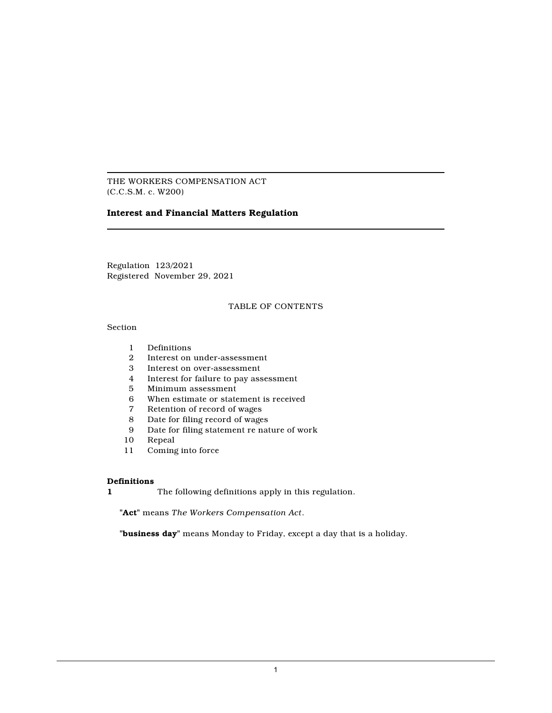THE WORKERS COMPENSATION ACT (C.C.S.M. c. W200)

# **Interest and Financial Matters Regulation**

Regulation 123/2021 Registered November 29, 2021

# TABLE OF CONTENTS

# Section

- 1 Definitions<br>2 Interest on
- 2 Interest on under-assessment
- 3 Interest on over-assessment
- 4 Interest for failure to pay assessment
- 5 Minimum assessment
- 6 When estimate or statement is received
- 7 Retention of record of wages<br>8 Date for filing record of wage
- Date for filing record of wages
- 9 Date for filing statement re nature of work
- 10 Repeal
- 11 Coming into force

# **Definitions**

**1** The following definitions apply in this regulation.

**"Act"** means *The Workers Compensation Act*.

**"business day"** means Monday to Friday, except a day that is a holiday.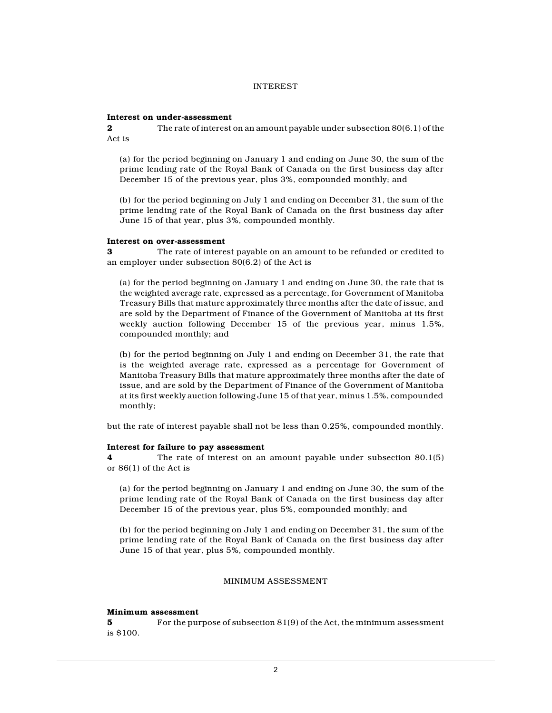#### INTEREST

### **Interest on under-assessment**

**2** The rate of interest on an amount payable under subsection 80(6.1) of the Act is

(a) for the period beginning on January 1 and ending on June 30, the sum of the prime lending rate of the Royal Bank of Canada on the first business day after December 15 of the previous year, plus 3%, compounded monthly; and

(b) for the period beginning on July 1 and ending on December 31, the sum of the prime lending rate of the Royal Bank of Canada on the first business day after June 15 of that year, plus 3%, compounded monthly.

#### **Interest on over-assessment**

**3** The rate of interest payable on an amount to be refunded or credited to an employer under subsection 80(6.2) of the Act is

(a) for the period beginning on January 1 and ending on June 30, the rate that is the weighted average rate, expressed as a percentage, for Government of Manitoba Treasury Bills that mature approximately three months after the date of issue, and are sold by the Department of Finance of the Government of Manitoba at its first weekly auction following December 15 of the previous year, minus 1.5%, compounded monthly; and

(b) for the period beginning on July 1 and ending on December 31, the rate that is the weighted average rate, expressed as a percentage for Government of Manitoba Treasury Bills that mature approximately three months after the date of issue, and are sold by the Department of Finance of the Government of Manitoba at its first weekly auction following June 15 of that year, minus 1.5%, compounded monthly;

but the rate of interest payable shall not be less than 0.25%, compounded monthly.

# **Interest for failure to pay assessment**

**4** The rate of interest on an amount payable under subsection 80.1(5) or 86(1) of the Act is

(a) for the period beginning on January 1 and ending on June 30, the sum of the prime lending rate of the Royal Bank of Canada on the first business day after December 15 of the previous year, plus 5%, compounded monthly; and

(b) for the period beginning on July 1 and ending on December 31, the sum of the prime lending rate of the Royal Bank of Canada on the first business day after June 15 of that year, plus 5%, compounded monthly.

## MINIMUM ASSESSMENT

#### **Minimum assessment**

**5** For the purpose of subsection 81(9) of the Act, the minimum assessment is \$100.